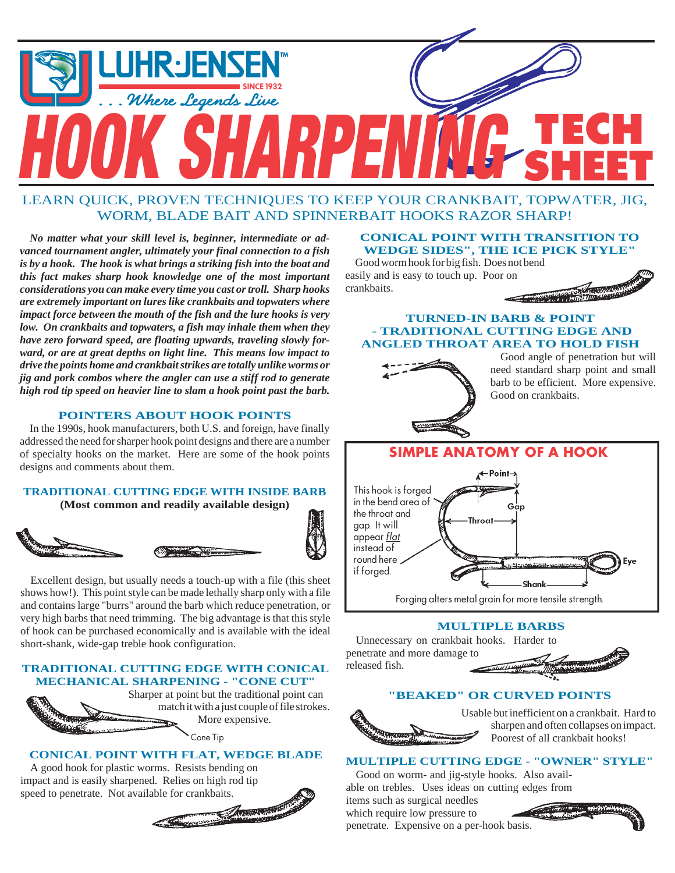

# LEARN QUICK, PROVEN TECHNIQUES TO KEEP YOUR CRANKBAIT, TOPWATER, JIG, WORM, BLADE BAIT AND SPINNERBAIT HOOKS RAZOR SHARP!

*No matter what your skill level is, beginner, intermediate or advanced tournament angler, ultimately your final connection to a fish is by a hook. The hook is what brings a striking fish into the boat and this fact makes sharp hook knowledge one of the most important considerations you can make every time you cast or troll. Sharp hooks are extremely important on lures like crankbaits and topwaters where impact force between the mouth of the fish and the lure hooks is very low. On crankbaits and topwaters, a fish may inhale them when they have zero forward speed, are floating upwards, traveling slowly forward, or are at great depths on light line. This means low impact to drive the points home and crankbait strikes are totally unlike worms or jig and pork combos where the angler can use a stiff rod to generate high rod tip speed on heavier line to slam a hook point past the barb.*

# **POINTERS ABOUT HOOK POINTS**

In the 1990s, hook manufacturers, both U.S. and foreign, have finally addressed the need for sharper hook point designs and there are a number of specialty hooks on the market. Here are some of the hook points designs and comments about them.

# **TRADITIONAL CUTTING EDGE WITH INSIDE BARB**

**(Most common and readily available design)**





Excellent design, but usually needs a touch-up with a file (this sheet shows how!). This point style can be made lethally sharp only with a file and contains large "burrs" around the barb which reduce penetration, or very high barbs that need trimming. The big advantage is that this style of hook can be purchased economically and is available with the ideal short-shank, wide-gap treble hook configuration.

# **TRADITIONAL CUTTING EDGE WITH CONICAL MECHANICAL SHARPENING - "CONE CUT"**



# **CONICAL POINT WITH FLAT, WEDGE BLADE**

A good hook for plastic worms. Resists bending on impact and is easily sharpened. Relies on high rod tip



### **CONICAL POINT WITH TRANSITION TO WEDGE SIDES", THE ICE PICK STYLE"**

Good worm hook for big fish. Does not bend easily and is easy to touch up. Poor on crankbaits.





Good angle of penetration but will need standard sharp point and small barb to be efficient. More expensive. Good on crankbaits.



# **MULTIPLE BARBS**

released fish. Unnecessary on crankbait hooks. Harder to penetrate and more damage to

#### **"BEAKED" OR CURVED POINTS**

Usable but inefficient on a crankbait. Hard to sharpen and often collapses on impact. Poorest of all crankbait hooks!

# **MULTIPLE CUTTING EDGE - "OWNER" STYLE"**

Good on worm- and jig-style hooks. Also available on trebles. Uses ideas on cutting edges from items such as surgical needles which require low pressure to

penetrate. Expensive on a per-hook basis.